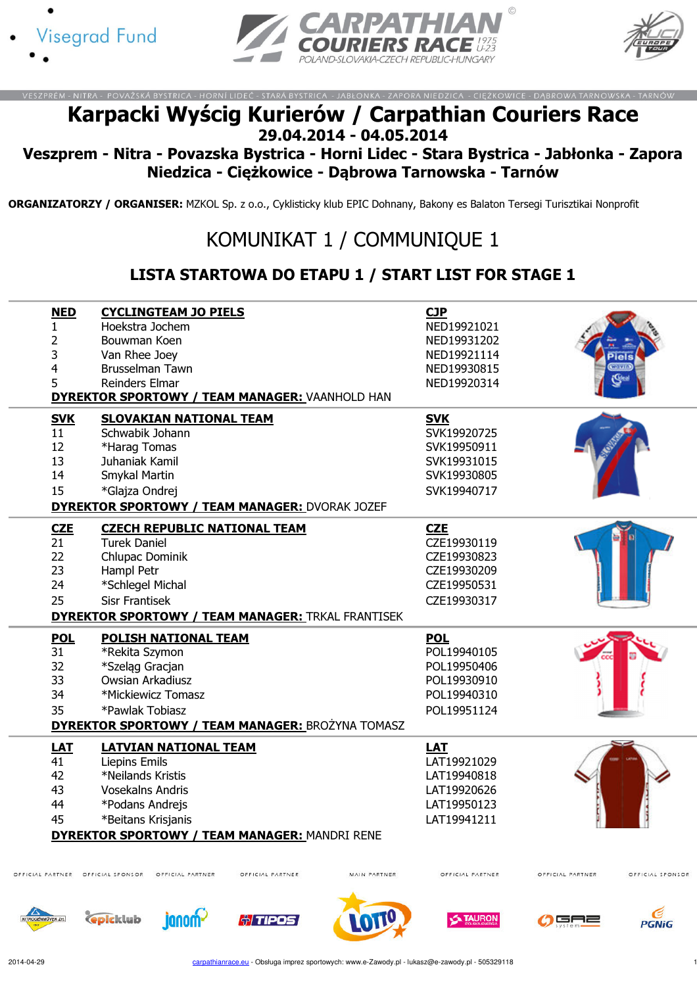





## Karpacki Wyścig Kurierów / Carpathian Couriers Race 29.04.2014 - 04.05.2014

## Veszprem - Nitra - Povazska Bystrica - Horni Lidec - Stara Bystrica - Jabłonka - Zapora Niedzica - Ciężkowice - Dąbrowa Tarnowska - Tarnów

ORGANIZATORZY / ORGANISER: MZKOL Sp. z o.o., Cyklisticky klub EPIC Dohnany, Bakony es Balaton Tersegi Turisztikai Nonprofit

## KOMUNIKAT 1 / COMMUNIQUE 1

## LISTA STARTOWA DO ETAPU 1 / START LIST FOR STAGE 1

| <b>NED</b>       |                         | <b>CYCLINGTEAM JO PIELS</b>    |                                                          |              | <b>CJP</b>       |                  |                  |
|------------------|-------------------------|--------------------------------|----------------------------------------------------------|--------------|------------------|------------------|------------------|
| 1                | Hoekstra Jochem         |                                |                                                          |              | NED19921021      |                  |                  |
| 2                | Bouwman Koen            |                                |                                                          |              | NED19931202      |                  |                  |
| 3                | Van Rhee Joey           |                                |                                                          |              | NED19921114      |                  |                  |
| 4                | <b>Brusselman Tawn</b>  |                                |                                                          |              | NED19930815      |                  | wavin            |
| 5                | <b>Reinders Elmar</b>   |                                |                                                          |              | NED19920314      |                  | (Gea             |
|                  |                         |                                | <b>DYREKTOR SPORTOWY / TEAM MANAGER: VAANHOLD HAN</b>    |              |                  |                  |                  |
| <b>SVK</b>       |                         | <b>SLOVAKIAN NATIONAL TEAM</b> |                                                          |              | <b>SVK</b>       |                  |                  |
| 11               | Schwabik Johann         |                                |                                                          |              | SVK19920725      |                  |                  |
| 12               | *Harag Tomas            |                                |                                                          |              | SVK19950911      |                  |                  |
| 13               | Juhaniak Kamil          |                                |                                                          |              | SVK19931015      |                  |                  |
| 14               | Smykal Martin           |                                |                                                          |              | SVK19930805      |                  |                  |
| 15               | *Glajza Ondrej          |                                |                                                          |              | SVK19940717      |                  |                  |
|                  |                         |                                | <b>DYREKTOR SPORTOWY / TEAM MANAGER: DVORAK JOZEF</b>    |              |                  |                  |                  |
| CZE              |                         |                                | <b>CZECH REPUBLIC NATIONAL TEAM</b>                      |              | <b>CZE</b>       |                  |                  |
| 21               | <b>Turek Daniel</b>     |                                |                                                          |              | CZE19930119      |                  |                  |
| 22               | Chlupac Dominik         |                                |                                                          |              | CZE19930823      |                  |                  |
| 23               | Hampl Petr              |                                |                                                          |              | CZE19930209      |                  |                  |
| 24               | *Schlegel Michal        |                                |                                                          |              | CZE19950531      |                  |                  |
| 25               | <b>Sisr Frantisek</b>   |                                |                                                          |              | CZE19930317      |                  |                  |
|                  |                         |                                | <b>DYREKTOR SPORTOWY / TEAM MANAGER: TRKAL FRANTISEK</b> |              |                  |                  |                  |
| <b>POL</b>       |                         | POLISH NATIONAL TEAM           |                                                          |              | <b>POL</b>       |                  |                  |
| $\overline{31}$  | *Rekita Szymon          |                                |                                                          |              | POL19940105      |                  |                  |
| 32               | *Szelag Gracjan         |                                |                                                          |              | POL19950406      |                  |                  |
| 33               | Owsian Arkadiusz        |                                |                                                          |              | POL19930910      |                  |                  |
| 34               | *Mickiewicz Tomasz      |                                |                                                          |              | POL19940310      |                  |                  |
| 35               | *Pawlak Tobiasz         |                                |                                                          |              | POL19951124      |                  |                  |
|                  |                         |                                | <b>DYREKTOR SPORTOWY / TEAM MANAGER: BROŻYNA TOMASZ</b>  |              |                  |                  |                  |
| <b>LAT</b>       |                         | <b>LATVIAN NATIONAL TEAM</b>   |                                                          |              | <b>LAT</b>       |                  |                  |
| 41               | <b>Liepins Emils</b>    |                                |                                                          |              | LAT19921029      |                  |                  |
| 42               | *Neilands Kristis       |                                |                                                          |              | LAT19940818      |                  |                  |
| 43               | <b>Vosekalns Andris</b> |                                |                                                          |              | LAT19920626      |                  |                  |
| 44               | *Podans Andrejs         |                                |                                                          |              | LAT19950123      |                  |                  |
| 45               | *Beitans Krisjanis      |                                |                                                          |              | LAT19941211      |                  |                  |
|                  |                         |                                | <b>DYREKTOR SPORTOWY / TEAM MANAGER: MANDRI RENE</b>     |              |                  |                  |                  |
|                  |                         |                                |                                                          |              |                  |                  |                  |
| OFFICIAL PARTNER | OFFICIAL SPONSOR        | OFFICIAL PARTNER               | OFFICIAL PARTNER                                         | MAIN PARTNER | OFFICIAL PARTNER | OFFICIAL PARTNER | OFFICIAL SPONSOR |
|                  | <b>Cepicklub</b>        | inno                           | <b>ATIPOS</b>                                            |              | <b>A TAURON</b>  |                  |                  |
|                  |                         |                                |                                                          |              |                  |                  | PGNiG            |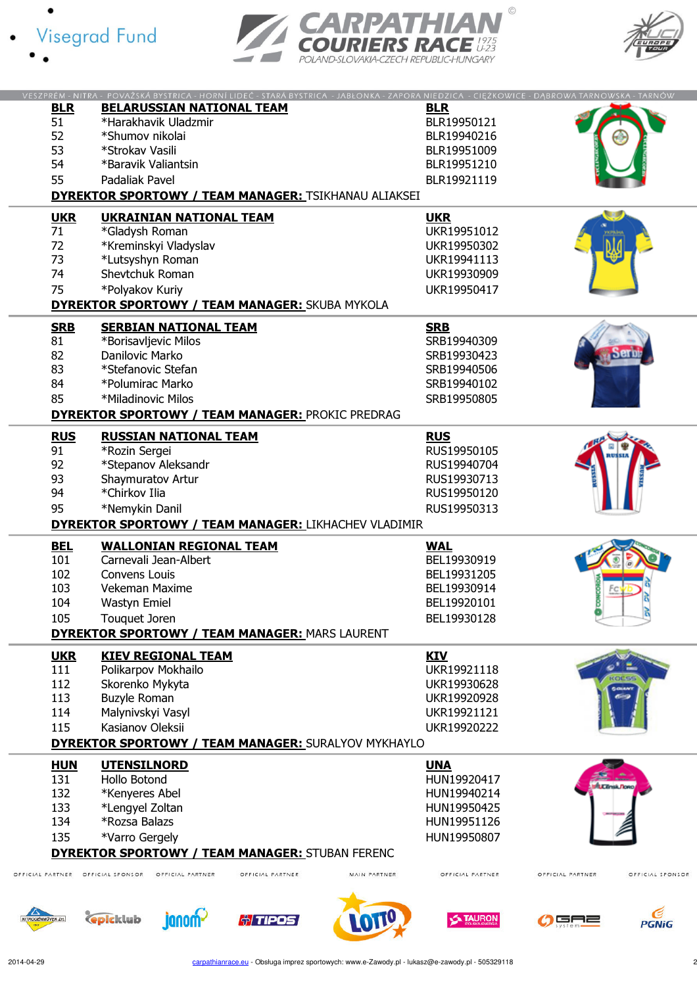





| <b>BLR</b>               | VESZPRÉM - NITRA - POVAŽSKÁ BYSTRICA - HORNÍ LIDEČ - STARÁ BYSTRICA - JABŁONKA - ZAPORA NIEDZICA - CIĘŻKOWICE - DĄBROWA TARNOWSKA - TARNÓW<br><b>BELARUSSIAN NATIONAL TEAM</b> | <b>BLR</b>                       |                                      |
|--------------------------|--------------------------------------------------------------------------------------------------------------------------------------------------------------------------------|----------------------------------|--------------------------------------|
|                          |                                                                                                                                                                                |                                  |                                      |
| 51                       | *Harakhavik Uladzmir                                                                                                                                                           | BLR19950121                      |                                      |
| 52                       | *Shumov nikolai                                                                                                                                                                | BLR19940216                      |                                      |
| 53                       | *Strokav Vasili                                                                                                                                                                | BLR19951009                      |                                      |
| 54                       | *Baravik Valiantsin                                                                                                                                                            | BLR19951210                      |                                      |
| 55                       | Padaliak Pavel                                                                                                                                                                 | BLR19921119                      |                                      |
|                          |                                                                                                                                                                                |                                  |                                      |
|                          | <b>DYREKTOR SPORTOWY / TEAM MANAGER: TSIKHANAU ALIAKSEI</b>                                                                                                                    |                                  |                                      |
| <b>UKR</b>               | <b>UKRAINIAN NATIONAL TEAM</b>                                                                                                                                                 | <b>UKR</b>                       |                                      |
| 71                       | *Gladysh Roman                                                                                                                                                                 | UKR19951012                      |                                      |
| 72                       | *Kreminskyi Vladyslav                                                                                                                                                          | UKR19950302                      |                                      |
| 73                       | *Lutsyshyn Roman                                                                                                                                                               | UKR19941113                      |                                      |
| 74                       | Shevtchuk Roman                                                                                                                                                                |                                  |                                      |
|                          |                                                                                                                                                                                | UKR19930909                      |                                      |
| 75                       | *Polyakov Kuriy                                                                                                                                                                | UKR19950417                      |                                      |
|                          | <b>DYREKTOR SPORTOWY / TEAM MANAGER: SKUBA MYKOLA</b>                                                                                                                          |                                  |                                      |
|                          | <b>SERBIAN NATIONAL TEAM</b>                                                                                                                                                   |                                  |                                      |
| <b>SRB</b>               |                                                                                                                                                                                | <b>SRB</b>                       |                                      |
| 81                       | *Borisavljevic Milos                                                                                                                                                           | SRB19940309                      |                                      |
| 82                       | Danilovic Marko                                                                                                                                                                | SRB19930423                      |                                      |
| 83                       | *Stefanovic Stefan                                                                                                                                                             | SRB19940506                      |                                      |
| 84                       | *Polumirac Marko                                                                                                                                                               | SRB19940102                      |                                      |
| 85                       | *Miladinovic Milos                                                                                                                                                             | SRB19950805                      |                                      |
|                          | <b>DYREKTOR SPORTOWY / TEAM MANAGER: PROKIC PREDRAG</b>                                                                                                                        |                                  |                                      |
|                          |                                                                                                                                                                                |                                  |                                      |
| <b>RUS</b>               | <b>RUSSIAN NATIONAL TEAM</b>                                                                                                                                                   | <b>RUS</b>                       |                                      |
| 91                       | *Rozin Sergei                                                                                                                                                                  | RUS19950105                      |                                      |
| 92                       | *Stepanov Aleksandr                                                                                                                                                            | RUS19940704                      |                                      |
| 93                       | Shaymuratov Artur                                                                                                                                                              | RUS19930713                      |                                      |
| 94                       | *Chirkov Ilia                                                                                                                                                                  | RUS19950120                      |                                      |
| 95                       | *Nemykin Danil                                                                                                                                                                 | RUS19950313                      |                                      |
|                          |                                                                                                                                                                                |                                  |                                      |
|                          |                                                                                                                                                                                |                                  |                                      |
|                          | <b>DYREKTOR SPORTOWY / TEAM MANAGER: LIKHACHEV VLADIMIR</b>                                                                                                                    |                                  |                                      |
| <b>BEL</b>               | <b>WALLONIAN REGIONAL TEAM</b>                                                                                                                                                 | <b>WAL</b>                       |                                      |
| 101                      | Carnevali Jean-Albert                                                                                                                                                          | BEL19930919                      |                                      |
|                          |                                                                                                                                                                                |                                  |                                      |
| 102                      | Convens Louis                                                                                                                                                                  | BEL19931205                      |                                      |
| 103                      | Vekeman Maxime                                                                                                                                                                 | BEL19930914                      |                                      |
| 104                      | Wastyn Emiel                                                                                                                                                                   | BEL19920101                      |                                      |
| 105                      | Touquet Joren                                                                                                                                                                  | BEL19930128                      |                                      |
|                          | <b>DYREKTOR SPORTOWY / TEAM MANAGER: MARS LAURENT</b>                                                                                                                          |                                  |                                      |
|                          |                                                                                                                                                                                |                                  |                                      |
| <b>UKR</b>               | <b>KIEV REGIONAL TEAM</b>                                                                                                                                                      | <b>KIV</b>                       |                                      |
| 111                      | Polikarpov Mokhailo                                                                                                                                                            | UKR19921118                      |                                      |
| 112                      | Skorenko Mykyta                                                                                                                                                                | UKR19930628                      | <b>SGERAY</b>                        |
| 113                      | <b>Buzyle Roman</b>                                                                                                                                                            | UKR19920928                      |                                      |
| 114                      | Malynivskyi Vasyl                                                                                                                                                              | UKR19921121                      |                                      |
| 115                      | Kasianov Oleksii                                                                                                                                                               | UKR19920222                      |                                      |
|                          | <b>DYREKTOR SPORTOWY / TEAM MANAGER: SURALYOV MYKHAYLO</b>                                                                                                                     |                                  |                                      |
|                          |                                                                                                                                                                                |                                  |                                      |
| <b>HUN</b>               | <b>UTENSILNORD</b>                                                                                                                                                             | <b>UNA</b>                       |                                      |
| 131                      | Hollo Botond                                                                                                                                                                   | HUN19920417                      | <b>LCEnsk Nono</b>                   |
| 132                      | *Kenyeres Abel                                                                                                                                                                 | HUN19940214                      |                                      |
| 133                      | *Lengyel Zoltan                                                                                                                                                                | HUN19950425                      |                                      |
| 134                      | *Rozsa Balazs                                                                                                                                                                  | HUN19951126                      |                                      |
| 135                      | *Varro Gergely                                                                                                                                                                 | HUN19950807                      |                                      |
|                          |                                                                                                                                                                                |                                  |                                      |
|                          | <b>DYREKTOR SPORTOWY / TEAM MANAGER: STUBAN FERENC</b>                                                                                                                         |                                  |                                      |
| FFICIAL PARTNER          | OFFICIAL PARTNER<br>OFFICIAL SPONSOR<br>OFFICIAL PARTNER                                                                                                                       | OFFICIAL PARTNER<br>MAIN PARTNER | OFFICIAL PARTNER<br>OFFICIAL SPONSOR |
|                          |                                                                                                                                                                                |                                  |                                      |
|                          |                                                                                                                                                                                |                                  |                                      |
| <b>ITROGÉNMÜVEK Zrt.</b> | <b>C</b> picklub<br>janom-<br><b><i>†TIPOS</i></b>                                                                                                                             | <b>X TAURON</b><br>OTT           | GAZ<br><b>PGNiG</b>                  |

 $\overline{c}$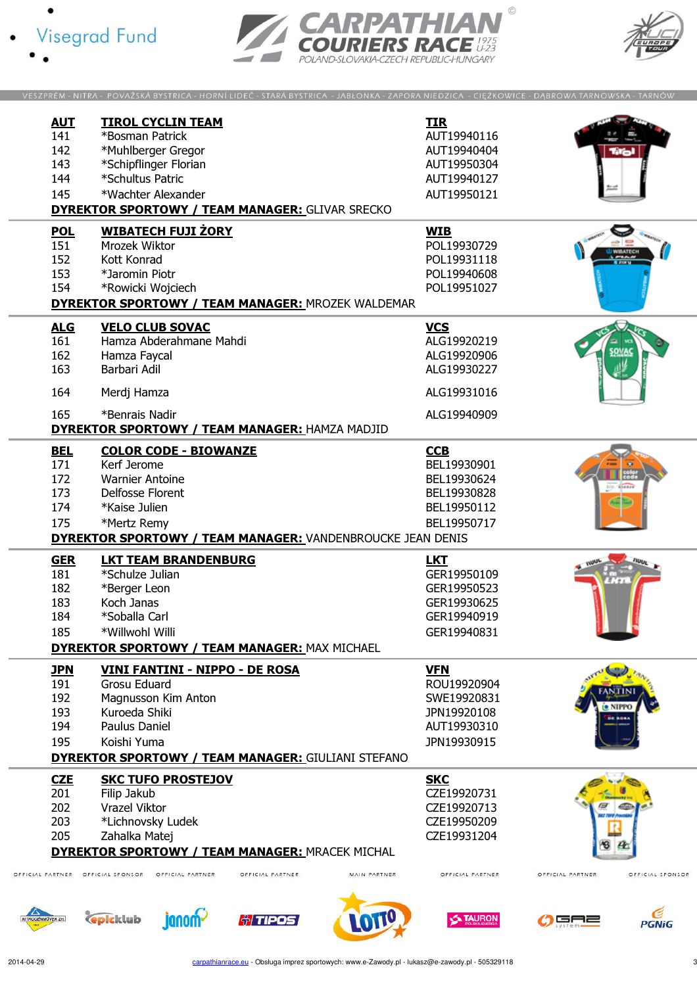





|                        | VESZPRÉM - NITRA - POVAŽSKÁ BYSTRICA - HORNÍ LIDEČ - STARÁ BYSTRICA - JABŁONKA - ZAPORA NIEDZICA - CIĘŻKOWICE - DĄBROWA TARNOWSKA - TARNÓW |              |                  |                  |                          |
|------------------------|--------------------------------------------------------------------------------------------------------------------------------------------|--------------|------------------|------------------|--------------------------|
|                        |                                                                                                                                            |              |                  |                  |                          |
| <b>AUT</b>             | <b>TIROL CYCLIN TEAM</b>                                                                                                                   |              | <b>TIR</b>       |                  |                          |
| 141                    | *Bosman Patrick                                                                                                                            |              | AUT19940116      |                  |                          |
| 142                    | *Muhlberger Gregor                                                                                                                         |              | AUT19940404      |                  |                          |
|                        |                                                                                                                                            |              |                  |                  |                          |
| 143                    | *Schipflinger Florian                                                                                                                      |              | AUT19950304      |                  |                          |
| 144                    | *Schultus Patric                                                                                                                           |              | AUT19940127      |                  |                          |
| 145                    | *Wachter Alexander                                                                                                                         |              | AUT19950121      |                  |                          |
|                        | <b>DYREKTOR SPORTOWY / TEAM MANAGER: GLIVAR SRECKO</b>                                                                                     |              |                  |                  |                          |
|                        |                                                                                                                                            |              |                  |                  |                          |
| <b>POL</b>             | <b>WIBATECH FUJI ŻORY</b>                                                                                                                  |              | <b>WIB</b>       |                  |                          |
| 151                    | Mrozek Wiktor                                                                                                                              |              | POL19930729      |                  | <b><i>I WIRATECH</i></b> |
| 152                    | Kott Konrad                                                                                                                                |              | POL19931118      |                  |                          |
| 153                    | *Jaromin Piotr                                                                                                                             |              | POL19940608      |                  |                          |
| 154                    | *Rowicki Wojciech                                                                                                                          |              | POL19951027      |                  |                          |
|                        | <b>DYREKTOR SPORTOWY / TEAM MANAGER: MROZEK WALDEMAR</b>                                                                                   |              |                  |                  |                          |
|                        |                                                                                                                                            |              |                  |                  |                          |
| <u>ALG</u>             | <b>VELO CLUB SOVAC</b>                                                                                                                     |              | <b>VCS</b>       |                  |                          |
| 161                    | Hamza Abderahmane Mahdi                                                                                                                    |              | ALG19920219      |                  |                          |
| 162                    | Hamza Faycal                                                                                                                               |              | ALG19920906      |                  |                          |
| 163                    | Barbari Adil                                                                                                                               |              | ALG19930227      |                  |                          |
|                        |                                                                                                                                            |              |                  |                  |                          |
| 164                    | Merdj Hamza                                                                                                                                |              | ALG19931016      |                  |                          |
|                        |                                                                                                                                            |              |                  |                  |                          |
| 165                    | *Benrais Nadir                                                                                                                             |              | ALG19940909      |                  |                          |
|                        | <b>DYREKTOR SPORTOWY / TEAM MANAGER: HAMZA MADJID</b>                                                                                      |              |                  |                  |                          |
| <b>BEL</b>             | <b>COLOR CODE - BIOWANZE</b>                                                                                                               |              | CCB              |                  |                          |
| 171                    | Kerf Jerome                                                                                                                                |              | BEL19930901      |                  |                          |
| 172                    | <b>Warnier Antoine</b>                                                                                                                     |              | BEL19930624      |                  |                          |
|                        |                                                                                                                                            |              |                  |                  |                          |
| 173                    | Delfosse Florent                                                                                                                           |              | BEL19930828      |                  |                          |
| 174                    | *Kaise Julien                                                                                                                              |              | BEL19950112      |                  |                          |
| 175                    | *Mertz Remy                                                                                                                                |              | BEL19950717      |                  |                          |
|                        | <b>DYREKTOR SPORTOWY / TEAM MANAGER: VANDENBROUCKE JEAN DENIS</b>                                                                          |              |                  |                  |                          |
|                        |                                                                                                                                            |              |                  |                  |                          |
| <b>GER</b>             | <b>LKT TEAM BRANDENBURG</b>                                                                                                                |              | <b>LKT</b>       |                  |                          |
| 181                    | *Schulze Julian                                                                                                                            |              | GER19950109      |                  |                          |
| 182                    | *Berger Leon                                                                                                                               |              | GER19950523      |                  |                          |
| 183                    | Koch Janas                                                                                                                                 |              | GER19930625      |                  |                          |
| 184                    | *Soballa Carl                                                                                                                              |              | GER19940919      |                  |                          |
| 185                    | *Willwohl Willi                                                                                                                            |              | GER19940831      |                  |                          |
|                        | <b>DYREKTOR SPORTOWY / TEAM MANAGER: MAX MICHAEL</b>                                                                                       |              |                  |                  |                          |
|                        |                                                                                                                                            |              |                  |                  |                          |
| <b>JPN</b>             | VINI FANTINI - NIPPO - DE ROSA                                                                                                             |              | <b>VFN</b>       |                  |                          |
| 191                    | Grosu Eduard                                                                                                                               |              | ROU19920904      |                  |                          |
| 192                    | Magnusson Kim Anton                                                                                                                        |              | SWE19920831      |                  |                          |
| 193                    | Kuroeda Shiki                                                                                                                              |              | JPN19920108      | $\bullet$ NIPP(  |                          |
| 194                    | Paulus Daniel                                                                                                                              |              | AUT19930310      |                  |                          |
| 195                    | Koishi Yuma                                                                                                                                |              | JPN19930915      |                  |                          |
|                        | <b>DYREKTOR SPORTOWY / TEAM MANAGER: GIULIANI STEFANO</b>                                                                                  |              |                  |                  |                          |
|                        |                                                                                                                                            |              |                  |                  |                          |
| <b>CZE</b>             | <b>SKC TUFO PROSTEJOV</b>                                                                                                                  |              | <b>SKC</b>       |                  |                          |
| 201                    | Filip Jakub                                                                                                                                |              | CZE19920731      |                  |                          |
| 202                    | Vrazel Viktor                                                                                                                              |              | CZE19920713      |                  |                          |
| 203                    | *Lichnovsky Ludek                                                                                                                          |              | CZE19950209      |                  |                          |
| 205                    | Zahalka Matej                                                                                                                              |              | CZE19931204      |                  |                          |
|                        | <b>DYREKTOR SPORTOWY / TEAM MANAGER: MRACEK MICHAL</b>                                                                                     |              |                  |                  |                          |
|                        |                                                                                                                                            |              |                  |                  |                          |
| FFICIAL PARTNER        | OFFICIAL SPONSOR<br>OFFICIAL PARTNER<br>OFFICIAL PARTNER                                                                                   | MAIN PARTNER | OFFICIAL PARTNER | OFFICIAL PARTNER | OFFICIAL SPONSOR         |
|                        |                                                                                                                                            |              |                  |                  |                          |
|                        |                                                                                                                                            |              |                  |                  |                          |
| <b>ROGÉNMÜVEK Zrt.</b> | <b><i><u>Cepicklub</u></i></b><br><b><i>†TIPOS</i></b>                                                                                     |              | <b>TAURON</b>    | GA2              |                          |
|                        | janom~                                                                                                                                     |              |                  |                  | <b>PGNiG</b>             |

 $\circ$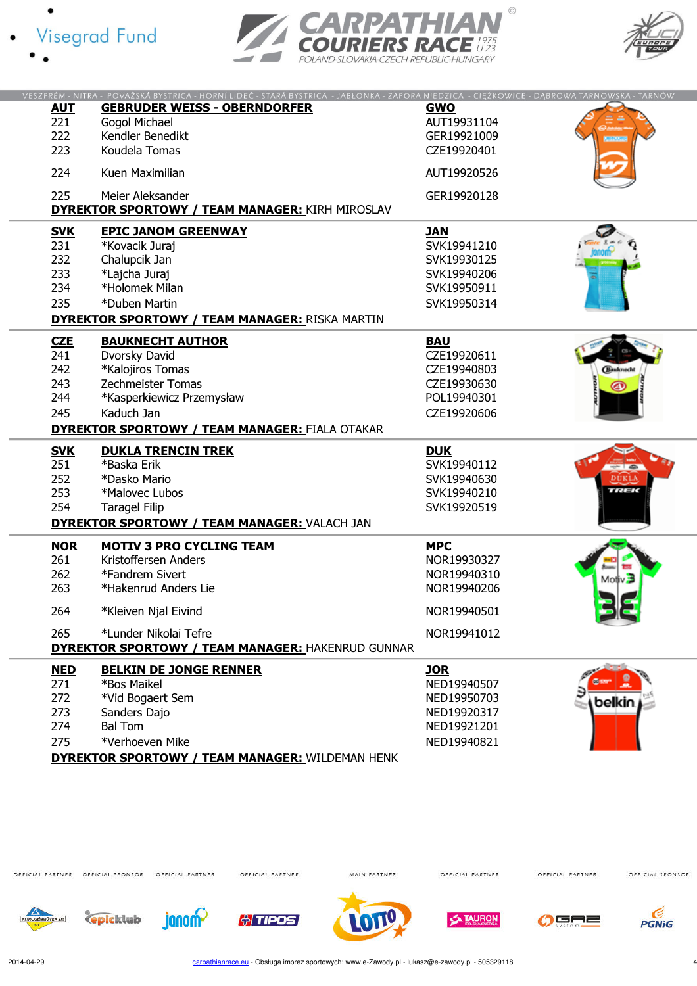





|            | VESZPRÉM - NITRA - POVAŽSKÁ BYSTRICA - HORNÍ LIDEČ - STARÁ BYSTRICA - JABŁONKA - ZAPORA NIEDZICA - CIĘŻKOWICE - DĄBROWA TARNOWSKA - TARNÓW |             |                    |
|------------|--------------------------------------------------------------------------------------------------------------------------------------------|-------------|--------------------|
| <b>AUT</b> | <b>GEBRUDER WEISS - OBERNDORFER</b>                                                                                                        | <b>GWO</b>  |                    |
|            |                                                                                                                                            |             |                    |
| 221        | Gogol Michael                                                                                                                              | AUT19931104 |                    |
| 222        | Kendler Benedikt                                                                                                                           | GER19921009 |                    |
| 223        | Koudela Tomas                                                                                                                              | CZE19920401 |                    |
|            |                                                                                                                                            |             |                    |
| 224        | Kuen Maximilian                                                                                                                            | AUT19920526 |                    |
|            |                                                                                                                                            |             |                    |
| 225        | Meier Aleksander                                                                                                                           | GER19920128 |                    |
|            | <b>DYREKTOR SPORTOWY / TEAM MANAGER: KIRH MIROSLAV</b>                                                                                     |             |                    |
|            |                                                                                                                                            |             |                    |
| <b>SVK</b> | <b>EPIC JANOM GREENWAY</b>                                                                                                                 | <b>JAN</b>  |                    |
| 231        | *Kovacik Juraj                                                                                                                             | SVK19941210 |                    |
| 232        | Chalupcik Jan                                                                                                                              | SVK19930125 |                    |
| 233        | *Lajcha Juraj                                                                                                                              | SVK19940206 |                    |
| 234        | *Holomek Milan                                                                                                                             |             |                    |
|            |                                                                                                                                            | SVK19950911 |                    |
| 235        | *Duben Martin                                                                                                                              | SVK19950314 |                    |
|            | <b>DYREKTOR SPORTOWY / TEAM MANAGER: RISKA MARTIN</b>                                                                                      |             |                    |
|            | <b>BAUKNECHT AUTHOR</b>                                                                                                                    | <b>BAU</b>  |                    |
| <b>CZE</b> |                                                                                                                                            |             |                    |
| 241        | Dvorsky David                                                                                                                              | CZE19920611 |                    |
| 242        | *Kalojiros Tomas                                                                                                                           | CZE19940803 | <b>Hauknecht</b>   |
| 243        | <b>Zechmeister Tomas</b>                                                                                                                   | CZE19930630 |                    |
| 244        | *Kasperkiewicz Przemysław                                                                                                                  | POL19940301 |                    |
| 245        | Kaduch Jan                                                                                                                                 | CZE19920606 |                    |
|            |                                                                                                                                            |             |                    |
|            | <b>DYREKTOR SPORTOWY / TEAM MANAGER: FIALA OTAKAR</b>                                                                                      |             |                    |
| <b>SVK</b> | <b>DUKLA TRENCIN TREK</b>                                                                                                                  | <b>DUK</b>  |                    |
| 251        | *Baska Erik                                                                                                                                | SVK19940112 |                    |
| 252        | *Dasko Mario                                                                                                                               | SVK19940630 |                    |
|            |                                                                                                                                            |             | uuar               |
| 253        | *Malovec Lubos                                                                                                                             | SVK19940210 |                    |
| 254        | <b>Taragel Filip</b>                                                                                                                       | SVK19920519 |                    |
|            | DYREKTOR SPORTOWY / TEAM MANAGER: VALACH JAN                                                                                               |             |                    |
| <b>NOR</b> | <b>MOTIV 3 PRO CYCLING TEAM</b>                                                                                                            | <b>MPC</b>  |                    |
| 261        | Kristoffersen Anders                                                                                                                       |             |                    |
|            |                                                                                                                                            | NOR19930327 |                    |
| 262        | *Fandrem Sivert                                                                                                                            | NOR19940310 | Motiv <sup>3</sup> |
| 263        | *Hakenrud Anders Lie                                                                                                                       | NOR19940206 |                    |
|            |                                                                                                                                            |             |                    |
| 264        | *Kleiven Njal Eivind                                                                                                                       | NOR19940501 |                    |
| 265        | *Lunder Nikolai Tefre                                                                                                                      | NOR19941012 |                    |
|            | <b>DYREKTOR SPORTOWY / TEAM MANAGER: HAKENRUD GUNNAR</b>                                                                                   |             |                    |
| <b>NED</b> | <b>BELKIN DE JONGE RENNER</b>                                                                                                              | <b>JOR</b>  |                    |
| 271        | *Bos Maikel                                                                                                                                | NED19940507 |                    |
|            |                                                                                                                                            |             |                    |
| 272        | *Vid Bogaert Sem                                                                                                                           | NED19950703 | belkin             |
| 273        | Sanders Dajo                                                                                                                               | NED19920317 |                    |
| 274        | <b>Bal Tom</b>                                                                                                                             | NED19921201 |                    |
| 275        | *Verhoeven Mike                                                                                                                            | NED19940821 |                    |
|            |                                                                                                                                            |             |                    |

DYREKTOR SPORTOWY / TEAM MANAGER: WILDEMAN HENK

OFFICIAL PARTNER OFFICIAL SPONSOR OFFICIAL PARTNER

OFFICIAL PARTNER

MAIN PARTNER

OFFICIAL PARTNER

OFFICIAL PARTNER

OFFICIAL SPONSOR





**janom** 











2014-04-29 carpathianrace.eu - Obsługa imprez sportowych: www.e-Zawody.pl - lukasz@e-zawody.pl - 505329118 4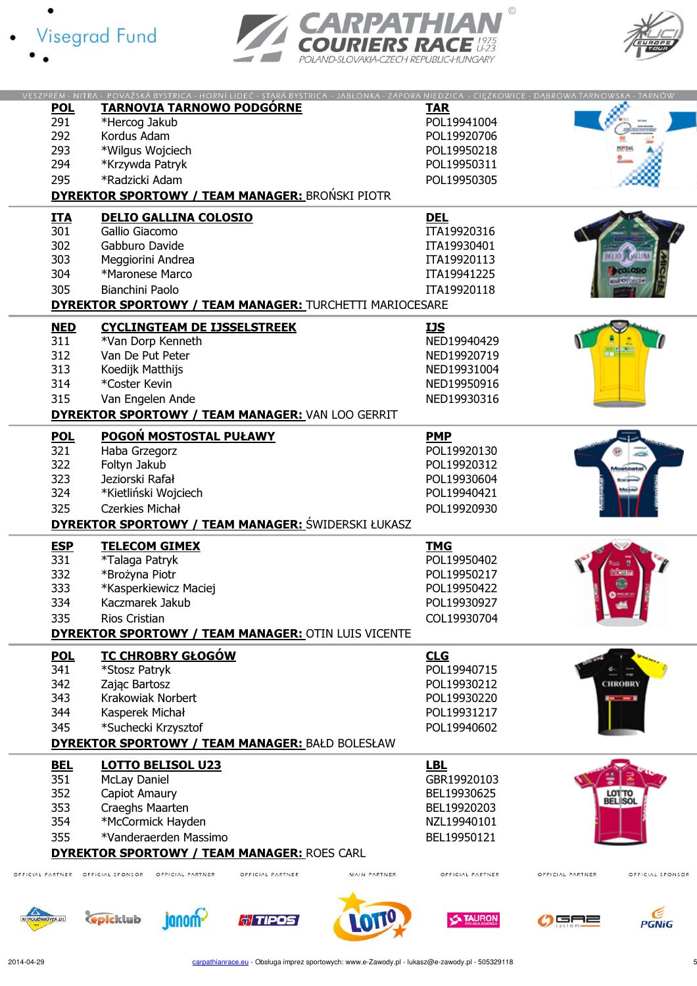





|                           | VESZPRÉM - NITRA - POVAŽSKÁ BYSTRICA - HORNÍ LIDEČ - STARÁ BYSTRICA - JABŁONKA - ZAPORA NIEDZICA - CIĘŻKOWICE - DĄBROWA TARNOWSKA - TARNÓW |                      |              |                  |                  |                      |
|---------------------------|--------------------------------------------------------------------------------------------------------------------------------------------|----------------------|--------------|------------------|------------------|----------------------|
| <b>POL</b>                | <b>TARNOVIA TARNOWO PODGÓRNE</b>                                                                                                           |                      |              | <b>TAR</b>       |                  |                      |
| 291                       | *Hercog Jakub                                                                                                                              |                      |              | POL19941004      |                  |                      |
| 292                       | Kordus Adam                                                                                                                                |                      |              | POL19920706      |                  |                      |
| 293                       | *Wilgus Wojciech                                                                                                                           |                      |              | POL19950218      |                  |                      |
| 294                       | *Krzywda Patryk                                                                                                                            |                      |              | POL19950311      |                  |                      |
| 295                       | *Radzicki Adam                                                                                                                             |                      |              | POL19950305      |                  |                      |
|                           | <b>DYREKTOR SPORTOWY / TEAM MANAGER: BRONSKI PIOTR</b>                                                                                     |                      |              |                  |                  |                      |
|                           |                                                                                                                                            |                      |              |                  |                  |                      |
| <b>ITA</b>                | <b>DELIO GALLINA COLOSIO</b>                                                                                                               |                      |              | <b>DEL</b>       |                  |                      |
| 301                       | Gallio Giacomo                                                                                                                             |                      |              | ITA19920316      |                  |                      |
| 302                       | Gabburo Davide                                                                                                                             |                      |              | ITA19930401      |                  | <b>DELIO SCALLIN</b> |
| 303                       | Meggiorini Andrea                                                                                                                          |                      |              | ITA19920113      |                  |                      |
| 304                       | *Maronese Marco                                                                                                                            |                      |              | ITA19941225      |                  |                      |
| 305                       | Bianchini Paolo                                                                                                                            |                      |              | ITA19920118      |                  |                      |
|                           | <b>DYREKTOR SPORTOWY / TEAM MANAGER: TURCHETTI MARIOCESARE</b>                                                                             |                      |              |                  |                  |                      |
| <b>NED</b>                | <b>CYCLINGTEAM DE IJSSELSTREEK</b>                                                                                                         |                      |              | <b>IJS</b>       |                  |                      |
| 311                       | *Van Dorp Kenneth                                                                                                                          |                      |              | NED19940429      |                  |                      |
| 312                       | Van De Put Peter                                                                                                                           |                      |              | NED19920719      |                  |                      |
|                           |                                                                                                                                            |                      |              |                  |                  |                      |
| 313                       | Koedijk Matthijs                                                                                                                           |                      |              | NED19931004      |                  |                      |
| 314                       | *Coster Kevin                                                                                                                              |                      |              | NED19950916      |                  |                      |
| 315                       | Van Engelen Ande                                                                                                                           |                      |              | NED19930316      |                  |                      |
|                           | <b>DYREKTOR SPORTOWY / TEAM MANAGER: VAN LOO GERRIT</b>                                                                                    |                      |              |                  |                  |                      |
| <u>POL</u>                | <b>POGOŃ MOSTOSTAL PUŁAWY</b>                                                                                                              |                      |              | <b>PMP</b>       |                  |                      |
| 321                       | Haba Grzegorz                                                                                                                              |                      |              | POL19920130      |                  |                      |
| 322                       | Foltyn Jakub                                                                                                                               |                      |              | POL19920312      |                  |                      |
| 323                       | Jeziorski Rafał                                                                                                                            |                      |              | POL19930604      |                  |                      |
| 324                       | *Kietliński Wojciech                                                                                                                       |                      |              | POL19940421      |                  |                      |
|                           |                                                                                                                                            |                      |              |                  |                  |                      |
|                           |                                                                                                                                            |                      |              |                  |                  |                      |
| 325                       | Czerkies Michał                                                                                                                            |                      |              | POL19920930      |                  |                      |
|                           | <b>DYREKTOR SPORTOWY / TEAM MANAGER: ŚWIDERSKI ŁUKASZ</b>                                                                                  |                      |              |                  |                  |                      |
| <b>ESP</b>                | <b>TELECOM GIMEX</b>                                                                                                                       |                      |              | <b>TMG</b>       |                  |                      |
| 331                       | *Talaga Patryk                                                                                                                             |                      |              | POL19950402      |                  |                      |
| 332                       | *Brożyna Piotr                                                                                                                             |                      |              | POL19950217      |                  | <b>REAL</b>          |
| 333                       |                                                                                                                                            |                      |              | POL19950422      |                  |                      |
|                           | *Kasperkiewicz Maciej<br>Kaczmarek Jakub                                                                                                   |                      |              |                  |                  |                      |
| 334                       |                                                                                                                                            |                      |              | POL19930927      |                  |                      |
| 335                       | Rios Cristian                                                                                                                              |                      |              | COL19930704      |                  |                      |
|                           | <b>DYREKTOR SPORTOWY / TEAM MANAGER: OTIN LUIS VICENTE</b>                                                                                 |                      |              |                  |                  |                      |
| <b>POL</b>                | <b>TC CHROBRY GŁOGÓW</b>                                                                                                                   |                      |              | <b>CLG</b>       |                  |                      |
| 341                       | *Stosz Patryk                                                                                                                              |                      |              | POL19940715      |                  |                      |
| 342                       | Zając Bartosz                                                                                                                              |                      |              | POL19930212      |                  | <b>CHROBRY</b>       |
| 343                       | <b>Krakowiak Norbert</b>                                                                                                                   |                      |              | POL19930220      |                  |                      |
| 344                       | Kasperek Michał                                                                                                                            |                      |              | POL19931217      |                  |                      |
| 345                       | *Suchecki Krzysztof                                                                                                                        |                      |              | POL19940602      |                  |                      |
|                           | <b>DYREKTOR SPORTOWY / TEAM MANAGER: BAŁD BOLESŁAW</b>                                                                                     |                      |              |                  |                  |                      |
|                           |                                                                                                                                            |                      |              |                  |                  |                      |
| <b>BEL</b>                | <b>LOTTO BELISOL U23</b>                                                                                                                   |                      |              | <b>LBL</b>       |                  |                      |
| 351                       | <b>McLay Daniel</b>                                                                                                                        |                      |              | GBR19920103      |                  |                      |
| 352                       | <b>Capiot Amaury</b>                                                                                                                       |                      |              | BEL19930625      |                  | LOTTO<br>BEL SOL     |
| 353                       | Craeghs Maarten                                                                                                                            |                      |              | BEL19920203      |                  |                      |
| 354                       | *McCormick Hayden                                                                                                                          |                      |              | NZL19940101      |                  |                      |
| 355                       | *Vanderaerden Massimo                                                                                                                      |                      |              | BEL19950121      |                  |                      |
|                           | <b>DYREKTOR SPORTOWY / TEAM MANAGER: ROES CARL</b>                                                                                         |                      |              |                  |                  |                      |
| <b>FFICIAL PARTNER</b>    | OFFICIAL SPONSOR<br>OFFICIAL PARTNER                                                                                                       | OFFICIAL PARTNER     | MAIN PARTNER | OFFICIAL PARTNER | OFFICIAL PARTNER | OFFICIAL SPONSOR     |
|                           |                                                                                                                                            |                      |              |                  |                  |                      |
|                           |                                                                                                                                            |                      |              |                  |                  |                      |
| <b>NITROGÉNMÜVEK Zrt.</b> | janom-<br><b><i><u>epicklub</u></i></b>                                                                                                    | <u> ଖ୍ରୀ TIPOS j</u> |              | <b>NTAURON</b>   | GAZ              | <b>PGNiG</b>         |